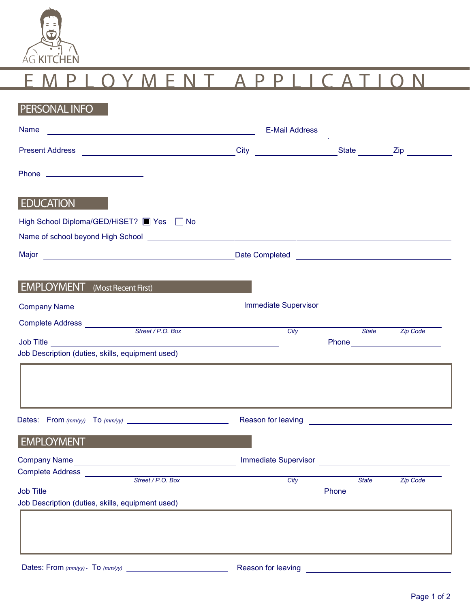

| <b>PERSONAL INFO</b>                                                                                                                |      |                               |                 |  |
|-------------------------------------------------------------------------------------------------------------------------------------|------|-------------------------------|-----------------|--|
| <b>Name</b><br><u> 1989 - Johann Stoff, deutscher Stoffen und der Stoffen und der Stoffen und der Stoffen und der Stoffen und d</u> |      |                               |                 |  |
|                                                                                                                                     | City |                               |                 |  |
| Phone __________________________                                                                                                    |      |                               |                 |  |
| <b>EDUCATION</b>                                                                                                                    |      |                               |                 |  |
| High School Diploma/GED/HiSET? ■ Yes ■ No                                                                                           |      |                               |                 |  |
|                                                                                                                                     |      |                               |                 |  |
| <b>EMPLOYMENT</b> (Most Recent First)                                                                                               |      |                               |                 |  |
| <b>Company Name</b>                                                                                                                 |      |                               |                 |  |
| Complete Address<br>Street / P.O. Box                                                                                               | City | <b>State</b>                  | <b>Zip Code</b> |  |
| Job Description (duties, skills, equipment used)                                                                                    |      | Phone <u>________________</u> |                 |  |
|                                                                                                                                     |      |                               |                 |  |
|                                                                                                                                     |      |                               |                 |  |
| <b>EMPLOYMENT</b>                                                                                                                   |      |                               |                 |  |
|                                                                                                                                     |      |                               |                 |  |
| Complete Address<br>Street / P.O. Box                                                                                               | City | State                         | <b>Zip Code</b> |  |
|                                                                                                                                     |      |                               |                 |  |
| Job Description (duties, skills, equipment used)                                                                                    |      |                               |                 |  |